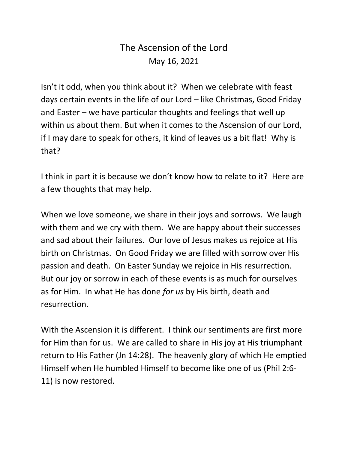## The Ascension of the Lord May 16, 2021

Isn't it odd, when you think about it? When we celebrate with feast days certain events in the life of our Lord – like Christmas, Good Friday and Easter – we have particular thoughts and feelings that well up within us about them. But when it comes to the Ascension of our Lord, if I may dare to speak for others, it kind of leaves us a bit flat! Why is that?

I think in part it is because we don't know how to relate to it? Here are a few thoughts that may help.

When we love someone, we share in their joys and sorrows. We laugh with them and we cry with them. We are happy about their successes and sad about their failures. Our love of Jesus makes us rejoice at His birth on Christmas. On Good Friday we are filled with sorrow over His passion and death. On Easter Sunday we rejoice in His resurrection. But our joy or sorrow in each of these events is as much for ourselves as for Him. In what He has done *for us* by His birth, death and resurrection.

With the Ascension it is different. I think our sentiments are first more for Him than for us. We are called to share in His joy at His triumphant return to His Father (Jn 14:28). The heavenly glory of which He emptied Himself when He humbled Himself to become like one of us (Phil 2:6- 11) is now restored.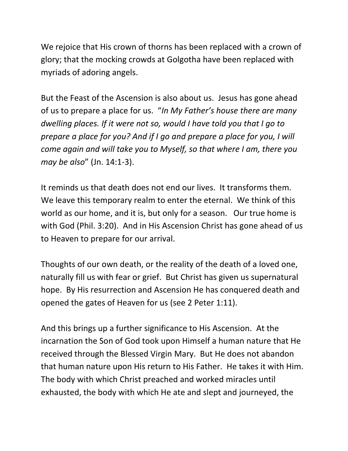We rejoice that His crown of thorns has been replaced with a crown of glory; that the mocking crowds at Golgotha have been replaced with myriads of adoring angels.

But the Feast of the Ascension is also about us. Jesus has gone ahead of us to prepare a place for us. "*In My Father's house there are many dwelling places. If it were not so, would I have told you that I go to prepare a place for you? And if I go and prepare a place for you, I will come again and will take you to Myself, so that where I am, there you may be also*" (Jn. 14:1-3).

It reminds us that death does not end our lives. It transforms them. We leave this temporary realm to enter the eternal. We think of this world as our home, and it is, but only for a season. Our true home is with God (Phil. 3:20). And in His Ascension Christ has gone ahead of us to Heaven to prepare for our arrival.

Thoughts of our own death, or the reality of the death of a loved one, naturally fill us with fear or grief. But Christ has given us supernatural hope. By His resurrection and Ascension He has conquered death and opened the gates of Heaven for us (see 2 Peter 1:11).

And this brings up a further significance to His Ascension. At the incarnation the Son of God took upon Himself a human nature that He received through the Blessed Virgin Mary. But He does not abandon that human nature upon His return to His Father. He takes it with Him. The body with which Christ preached and worked miracles until exhausted, the body with which He ate and slept and journeyed, the